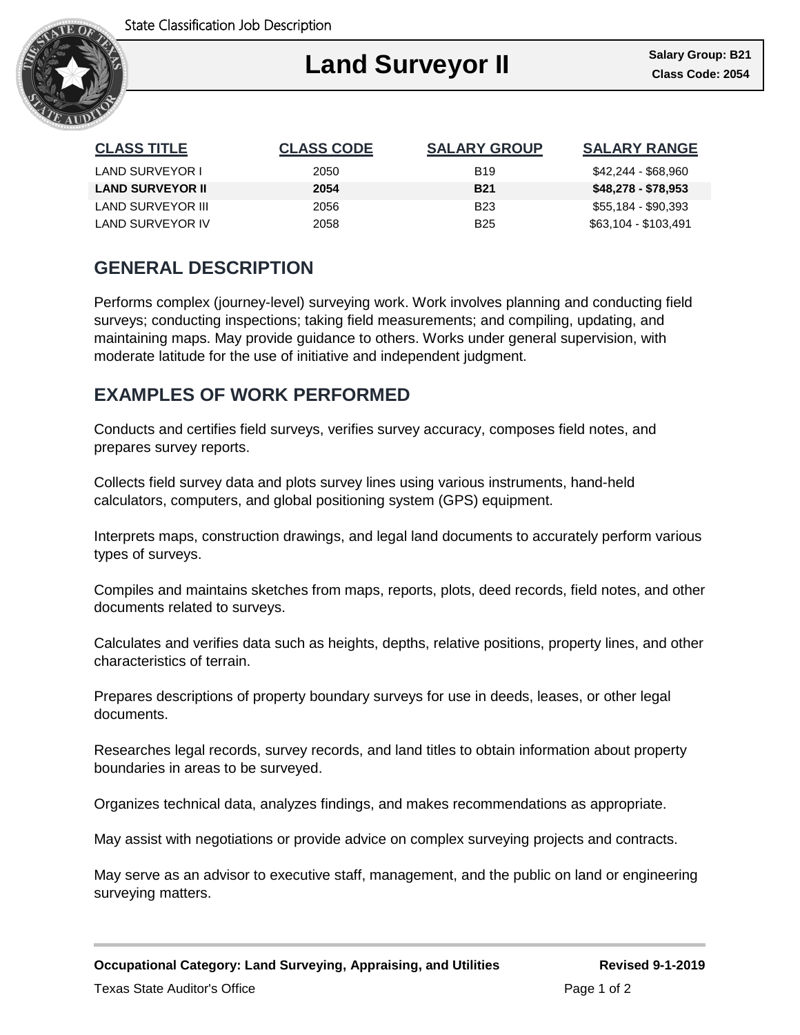

| <b>CLASS TITLE</b>      | <b>CLASS CODE</b> | <b>SALARY GROUP</b> | <b>SALARY RANGE</b>  |
|-------------------------|-------------------|---------------------|----------------------|
| LAND SURVEYOR I         | 2050              | <b>B</b> 19         | \$42,244 - \$68,960  |
| <b>LAND SURVEYOR II</b> | 2054              | <b>B21</b>          | \$48,278 - \$78,953  |
| LAND SURVEYOR III       | 2056              | <b>B23</b>          | \$55,184 - \$90,393  |
| LAND SURVEYOR IV        | 2058              | <b>B25</b>          | \$63,104 - \$103,491 |

# **GENERAL DESCRIPTION**

Performs complex (journey-level) surveying work. Work involves planning and conducting field surveys; conducting inspections; taking field measurements; and compiling, updating, and maintaining maps. May provide guidance to others. Works under general supervision, with moderate latitude for the use of initiative and independent judgment.

## **EXAMPLES OF WORK PERFORMED**

Conducts and certifies field surveys, verifies survey accuracy, composes field notes, and prepares survey reports.

Collects field survey data and plots survey lines using various instruments, hand-held calculators, computers, and global positioning system (GPS) equipment.

Interprets maps, construction drawings, and legal land documents to accurately perform various types of surveys.

Compiles and maintains sketches from maps, reports, plots, deed records, field notes, and other documents related to surveys.

Calculates and verifies data such as heights, depths, relative positions, property lines, and other characteristics of terrain.

Prepares descriptions of property boundary surveys for use in deeds, leases, or other legal documents.

Researches legal records, survey records, and land titles to obtain information about property boundaries in areas to be surveyed.

Organizes technical data, analyzes findings, and makes recommendations as appropriate.

May assist with negotiations or provide advice on complex surveying projects and contracts.

May serve as an advisor to executive staff, management, and the public on land or engineering surveying matters.